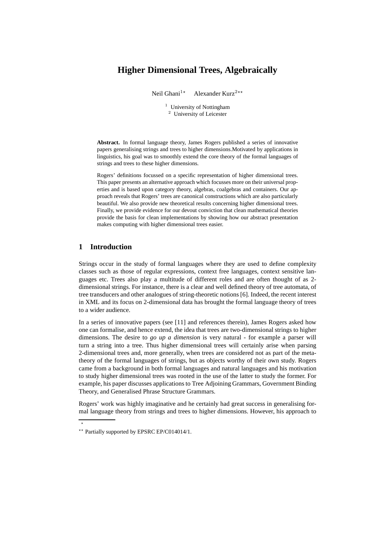# **Higher Dimensional Trees, Algebraically**

Neil Ghani<sup>1</sup><sup>★</sup> Alexander Kurz<sup>2</sup> **\*** 

<sup>1</sup> University of Nottingham <sup>2</sup> University of Leicester

**Abstract.** In formal language theory, James Rogers published a series of innovative papers generalising strings and trees to higher dimensions.Motivated by applications in linguistics, his goal was to smoothly extend the core theory of the formal languages of strings and trees to these higher dimensions.

Rogers' definitions focussed on a specific representation of higher dimensional trees. This paper presents an alternative approach which focusses more on their universal properties and is based upon category theory, algebras, coalgebras and containers. Our approach reveals that Rogers' trees are canonical constructions which are also particularly beautiful. We also provide new theoretical results concerning higher dimensional trees. Finally, we provide evidence for our devout conviction that clean mathematical theories provide the basis for clean implementations by showing how our abstract presentation makes computing with higher dimensional trees easier.

# **1 Introduction**

Strings occur in the study of formal languages where they are used to define complexity classes such as those of regular expressions, context free languages, context sensitive languages etc. Trees also play a multitude of different roles and are often thought of as 2 dimensional strings. For instance, there is a clear and well defined theory of tree automata, of tree transducers and other analogues of string-theoretic notions [6]. Indeed, the recent interest in XML and its focus on 2-dimensional data has brought the formal language theory of trees to a wider audience.

In a series of innovative papers (see [11] and references therein), James Rogers asked how one can formalise, and hence extend, the idea that trees are two-dimensional strings to higher dimensions. The desire to *go up a dimension* is very natural - for example a parser will turn a string into a tree. Thus higher dimensional trees will certainly arise when parsing 2-dimensional trees and, more generally, when trees are considered not as part of the metatheory of the formal languages of strings, but as objects worthy of their own study. Rogers came from a background in both formal languages and natural languages and his motivation to study higher dimensional trees was rooted in the use of the latter to study the former. For example, his paper discusses applications to Tree Adjoining Grammars, Government Binding Theory, and Generalised Phrase Structure Grammars.

Rogers' work was highly imaginative and he certainly had great success in generalising formal language theory from strings and trees to higher dimensions. However, his approach to

⋆

<sup>\*\*</sup> Partially supported by EPSRC EP/C014014/1.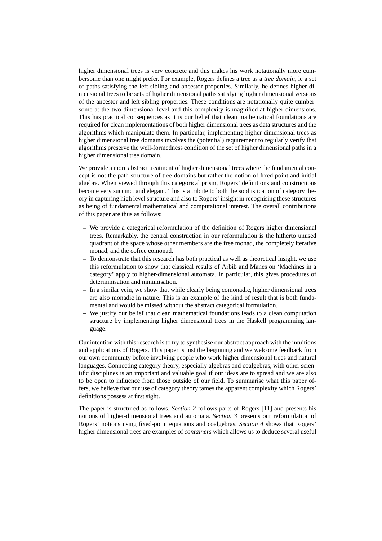higher dimensional trees is very concrete and this makes his work notationally more cumbersome than one might prefer. For example, Rogers defines a tree as a *tree domain*, ie a set of paths satisfying the left-sibling and ancestor properties. Similarly, he defines higher dimensional trees to be sets of higher dimensional paths satisfying higher dimensional versions of the ancestor and left-sibling properties. These conditions are notationally quite cumbersome at the two dimensional level and this complexity is magnified at higher dimensions. This has practical consequences as it is our belief that clean mathematical foundations are required for clean implementations of both higher dimensional trees as data structures and the algorithms which manipulate them. In particular, implementing higher dimensional trees as higher dimensional tree domains involves the (potential) requirement to regularly verify that algorithms preserve the well-formedness condition of the set of higher dimensional paths in a higher dimensional tree domain.

We provide a more abstract treatment of higher dimensional trees where the fundamental concept is not the path structure of tree domains but rather the notion of fixed point and initial algebra. When viewed through this categorical prism, Rogers' definitions and constructions become very succinct and elegant. This is a tribute to both the sophistication of category theory in capturing high level structure and also to Rogers' insight in recognising these structures as being of fundamental mathematical and computational interest. The overall contributions of this paper are thus as follows:

- **–** We provide a categorical reformulation of the definition of Rogers higher dimensional trees. Remarkably, the central construction in our reformulation is the hitherto unused quadrant of the space whose other members are the free monad, the completely iterative monad, and the cofree comonad.
- **–** To demonstrate that this research has both practical as well as theoretical insight, we use this reformulation to show that classical results of Arbib and Manes on 'Machines in a category' apply to higher-dimensional automata. In particular, this gives procedures of determinisation and minimisation.
- **–** In a similar vein, we show that while clearly being comonadic, higher dimensional trees are also monadic in nature. This is an example of the kind of result that is both fundamental and would be missed without the abstract categorical formulation.
- **–** We justify our belief that clean mathematical foundations leads to a clean computation structure by implementing higher dimensional trees in the Haskell programming language.

Our intention with this research is to try to synthesise our abstract approach with the intuitions and applications of Rogers. This paper is just the beginning and we welcome feedback from our own community before involving people who work higher dimensional trees and natural languages. Connecting category theory, especially algebras and coalgebras, with other scientific disciplines is an important and valuable goal if our ideas are to spread and we are also to be open to influence from those outside of our field. To summarise what this paper offers, we believe that our use of category theory tames the apparent complexity which Rogers' definitions possess at first sight.

The paper is structured as follows. *Section 2* follows parts of Rogers [11] and presents his notions of higher-dimensional trees and automata. *Section 3* presents our reformulation of Rogers' notions using fixed-point equations and coalgebras. *Section 4* shows that Rogers' higher dimensional trees are examples of *containers* which allows us to deduce several useful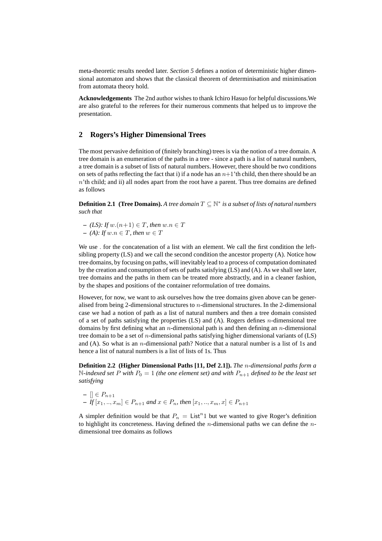meta-theoretic results needed later. *Section 5* defines a notion of deterministic higher dimensional automaton and shows that the classical theorem of determinisation and minimisation from automata theory hold.

**Acknowledgements** The 2nd author wishes to thank Ichiro Hasuo for helpful discussions.We are also grateful to the referees for their numerous comments that helped us to improve the presentation.

# **2 Rogers's Higher Dimensional Trees**

The most pervasive definition of (finitely branching) trees is via the notion of a tree domain. A tree domain is an enumeration of the paths in a tree - since a path is a list of natural numbers, a tree domain is a subset of lists of natural numbers. However, there should be two conditions on sets of paths reflecting the fact that i) if a node has an  $n+1$ 'th child, then there should be an  $n'$ th child; and ii) all nodes apart from the root have a parent. Thus tree domains are defined as follows

**Definition 2.1 (Tree Domains).** *A tree domain* T ⊆ N ∗ *is a subset of lists of natural numbers such that*

- $−$  *(LS):* If w.(n+1) ∈ T, then w.n ∈ T
- $-$  *(A):* If  $w.n \in T$ *, then*  $w \in T$

We use . for the concatenation of a list with an element. We call the first condition the leftsibling property (LS) and we call the second condition the ancestor property (A). Notice how tree domains, by focusing on paths, will inevitably lead to a process of computation dominated by the creation and consumption of sets of paths satisfying (LS) and (A). As we shall see later, tree domains and the paths in them can be treated more abstractly, and in a cleaner fashion, by the shapes and positions of the container reformulation of tree domains.

However, for now, we want to ask ourselves how the tree domains given above can be generalised from being 2-dimensional structures to n-dimensional structures. In the 2-dimensional case we had a notion of path as a list of natural numbers and then a tree domain consisted of a set of paths satisfying the properties  $(LS)$  and  $(A)$ . Rogers defines *n*-dimensional tree domains by first defining what an *n*-dimensional path is and then defining an *n*-dimensional tree domain to be a set of *n*-dimensional paths satisfying higher dimensional variants of  $(LS)$ and (A). So what is an n-dimensional path? Notice that a natural number is a list of 1s and hence a list of natural numbers is a list of lists of 1s. Thus

**Definition 2.2 (Higher Dimensional Paths [11, Def 2.1]).** *The* n*-dimensional paths form a* N-indexed set P with  $P_0 = 1$  (the one element set) and with  $P_{n+1}$  defined to be the least set *satisfying*

$$
- [] \in P_{n+1}
$$
  
- If  $[x_1, ..., x_m] \in P_{n+1}$  and  $x \in P_n$ , then  $[x_1, ..., x_m, x] \in P_{n+1}$ 

A simpler definition would be that  $P_n =$  List<sup>n</sup>1 but we wanted to give Roger's definition to highlight its concreteness. Having defined the *n*-dimensional paths we can define the *n*dimensional tree domains as follows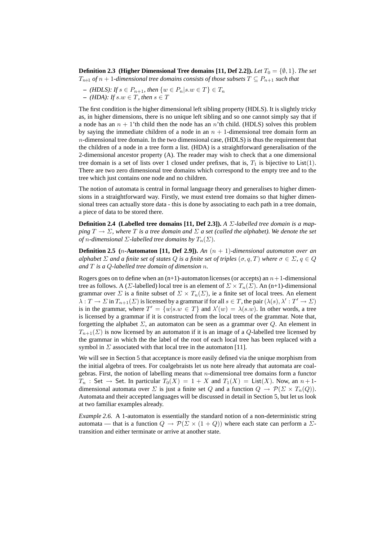**Definition 2.3** (Higher Dimensional Tree domains [11, Def 2.2]). Let  $T_0 = \{\emptyset, 1\}$ . The set  $T_{n+1}$  *of*  $n+1$ -dimensional tree domains consists of those subsets  $T \subseteq P_{n+1}$  such that

**−** *(HDLS):* If  $s \in P_{n+1}$ *, then*  $\{w \in P_n | s.w \in T\} \in T_n$ 

 $-$  *(HDA):* If  $s.w \in T$ *, then*  $s \in T$ 

The first condition is the higher dimensional left sibling property (HDLS). It is slightly tricky as, in higher dimensions, there is no unique left sibling and so one cannot simply say that if a node has an  $n + 1$ 'th child then the node has an n'th child. (HDLS) solves this problem by saying the immediate children of a node in an  $n + 1$ -dimensional tree domain form an  $n$ -dimensional tree domain. In the two dimensional case, (HDLS) is thus the requirement that the children of a node in a tree form a list. (HDA) is a straightforward generalisation of the 2-dimensional ancestor property (A). The reader may wish to check that a one dimensional tree domain is a set of lists over 1 closed under prefixes, that is,  $T_1$  is bijective to List(1). There are two zero dimensional tree domains which correspond to the empty tree and to the tree which just contains one node and no children.

The notion of automata is central in formal language theory and generalises to higher dimensions in a straightforward way. Firstly, we must extend tree domains so that higher dimensional trees can actually store data - this is done by associating to each path in a tree domain, a piece of data to be stored there.

**Definition 2.4 (Labelled tree domains [11, Def 2.3]).** *A* Σ*-labelled tree domain is a mapping*  $T \to \Sigma$ *, where*  $T$  *is a tree domain and*  $\Sigma$  *a set (called the alphabet). We denote the set of n*-dimensional  $\Sigma$ -labelled tree domains by  $T_n(\Sigma)$ .

**Definition 2.5 (**n**-Automaton [11, Def 2.9]).** *An* (n + 1)*-dimensional automaton over an alphabet*  $\Sigma$  *and a finite set of states*  $Q$  *is a finite set of triples*  $(\sigma, q, T)$  *where*  $\sigma \in \Sigma$ ,  $q \in Q$ *and* T *is a* Q*-labelled tree domain of dimension* n*.*

Rogers goes on to define when an  $(n+1)$ -automaton licenses (or accepts) an  $n+1$ -dimensional tree as follows. A ( $\Sigma$ -labelled) local tree is an element of  $\Sigma \times T_n(\Sigma)$ . An (n+1)-dimensional grammar over  $\Sigma$  is a finite subset of  $\Sigma \times T_n(\Sigma)$ , ie a finite set of local trees. An element  $\lambda: T \to \Sigma$  in  $T_{n+1}(\Sigma)$  is licensed by a grammar if for all  $s \in T$ , the pair  $(\lambda(s), \lambda': T' \to \Sigma)$ is in the grammar, where  $T' = \{w | s w \in T\}$  and  $\lambda'(w) = \lambda(s.w)$ . In other words, a tree is licensed by a grammar if it is constructed from the local trees of the grammar. Note that, forgetting the alphabet  $\Sigma$ , an automaton can be seen as a grammar over  $Q$ . An element in  $T_{n+1}(\Sigma)$  is now licensed by an automaton if it is an image of a Q-labelled tree licensed by the grammar in which the the label of the root of each local tree has been replaced with a symbol in  $\Sigma$  associated with that local tree in the automaton [11].

We will see in Section 5 that acceptance is more easily defined via the unique morphism from the initial algebra of trees. For coalgebraists let us note here already that automata are coalgebras. First, the notion of labelling means that  $n$ -dimensional tree domains form a functor  $T_n$ : Set  $\rightarrow$  Set. In particular  $T_0(X) = 1 + X$  and  $T_1(X) = List(X)$ . Now, an  $n+1$ dimensional automata over  $\Sigma$  is just a finite set Q and a function  $Q \to \mathcal{P}(\Sigma \times T_n(Q)).$ Automata and their accepted languages will be discussed in detail in Section 5, but let us look at two familiar examples already.

*Example 2.6.* A 1-automaton is essentially the standard notion of a non-deterministic string automata — that is a function  $Q \to \mathcal{P}(\Sigma \times (1+Q))$  where each state can perform a  $\Sigma$ transition and either terminate or arrive at another state.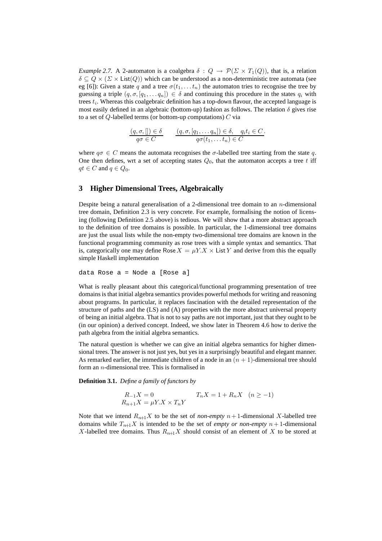*Example 2.7.* A 2-automaton is a coalgebra  $\delta: Q \to \mathcal{P}(\Sigma \times T_1(Q))$ , that is, a relation  $\delta \subseteq Q \times (\Sigma \times \text{List}(Q))$  which can be understood as a non-deterministic tree automata (see eg [6]): Given a state q and a tree  $\sigma(t_1, \ldots, t_n)$  the automaton tries to recognise the tree by guessing a triple  $(q, \sigma, [q_1, \ldots q_n]) \in \delta$  and continuing this procedure in the states  $q_i$  with trees  $t_i$ . Whereas this coalgebraic definition has a top-down flavour, the accepted language is most easily defined in an algebraic (bottom-up) fashion as follows. The relation  $\delta$  gives rise to a set of Q-labelled terms (or bottom-up *c*omputations) C via

$$
\frac{(q,\sigma,[])(\in \delta)}{q\sigma \in C} \qquad \frac{(q,\sigma,[q_1,\ldots,q_n]) \in \delta, \quad q_i t_i \in C}{q\sigma(t_1,\ldots t_n) \in C}.
$$

where  $q\sigma \in C$  means the automata recognises the  $\sigma$ -labelled tree starting from the state q. One then defines, wrt a set of accepting states  $Q_0$ , that the automaton accepts a tree t iff  $qt \in C$  and  $q \in Q_0$ .

# **3 Higher Dimensional Trees, Algebraically**

Despite being a natural generalisation of a 2-dimensional tree domain to an  $n$ -dimensional tree domain, Definition 2.3 is very concrete. For example, formalising the notion of licensing (following Definition 2.5 above) is tedious. We will show that a more abstract approach to the definition of tree domains is possible. In particular, the 1-dimensional tree domains are just the usual lists while the non-empty two-dimensional tree domains are known in the functional programming community as rose trees with a simple syntax and semantics. That is, categorically one may define Rose  $X = uY.X \times$  List Y and derive from this the equally simple Haskell implementation

data Rose a = Node a [Rose a]

What is really pleasant about this categorical/functional programming presentation of tree domains is that initial algebra semantics provides powerful methods for writing and reasoning about programs. In particular, it replaces fascination with the detailed representation of the structure of paths and the (LS) and (A) properties with the more abstract universal property of being an initial algebra. That is not to say paths are not important, just that they ought to be (in our opinion) a derived concept. Indeed, we show later in Theorem 4.6 how to derive the path algebra from the initial algebra semantics.

The natural question is whether we can give an initial algebra semantics for higher dimensional trees. The answer is not just yes, but yes in a surprisingly beautiful and elegant manner. As remarked earlier, the immediate children of a node in an  $(n + 1)$ -dimensional tree should form an  $n$ -dimensional tree. This is formalised in

**Definition 3.1.** *Define a family of functors by*

$$
R_{-1}X = 0 \t T_nX = 1 + R_nX \t (n \ge -1)
$$
  

$$
R_{n+1}X = \mu Y.X \times T_nY
$$

Note that we intend  $R_{n+1}X$  to be the set of *non-empty*  $n+1$ -dimensional X-labelled tree domains while  $T_{n+1}X$  is intended to be the set of *empty or non-empty*  $n+1$ -dimensional X-labelled tree domains. Thus  $R_{n+1}X$  should consist of an element of X to be stored at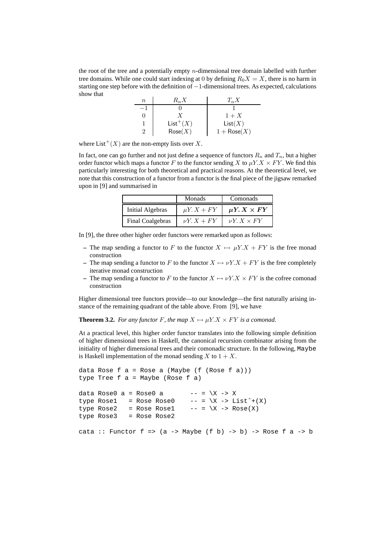the root of the tree and a potentially empty  $n$ -dimensional tree domain labelled with further tree domains. While one could start indexing at 0 by defining  $R_0X = X$ , there is no harm in starting one step before with the definition of −1-dimensional trees. As expected, calculations show that

| $\eta$ | $R_nX$             | $T_nX$               |
|--------|--------------------|----------------------|
| $-1$   |                    |                      |
|        |                    | $1+X$                |
|        | $List^{+}(X)$      | List(X)              |
|        | $\mathsf{Rose}(X)$ | $1 + \text{Rose}(X)$ |

where  $List^+(X)$  are the non-empty lists over X.

In fact, one can go further and not just define a sequence of functors  $R_n$  and  $T_n$ , but a higher order functor which maps a functor F to the functor sending X to  $\mu Y.X \times FY$ . We find this particularly interesting for both theoretical and practical reasons. At the theoretical level, we note that this construction of a functor from a functor is the final piece of the jigsaw remarked upon in [9] and summarised in

|                  | Monads          | Comonads             |  |
|------------------|-----------------|----------------------|--|
| Initial Algebras | $\mu Y. X + FY$ | $\mu Y. X \times FY$ |  |
| Final Coalgebras | $\nu Y. X + FY$ | $\nu Y. X \times FY$ |  |

In [9], the three other higher order functors were remarked upon as follows:

- The map sending a functor to F to the functor  $X \mapsto \mu Y.X + FY$  is the free monad construction
- The map sending a functor to F to the functor  $X \mapsto \nu Y.X + FY$  is the free completely iterative monad construction
- The map sending a functor to F to the functor  $X \mapsto \nu Y.X \times FY'$  is the cofree comonad construction

Higher dimensional tree functors provide—to our knowledge—the first naturally arising instance of the remaining quadrant of the table above. From [9], we have

**Theorem 3.2.** *For any functor F, the map*  $X \mapsto \mu Y.X \times FY$  *is a comonad.* 

At a practical level, this higher order functor translates into the following simple definition of higher dimensional trees in Haskell, the canonical recursion combinator arising from the initiality of higher dimensional trees and their comonadic structure. In the following, Maybe is Haskell implementation of the monad sending  $X$  to  $1 + X$ .

```
data Rose f a = Rose a (Maybe (f (Rose f a)))
type Tree f a = Maybe (Rose f a)
data Rose0 a = Rose0 a --- = \X \rightarrow Xtype Rose1 = Rose Rose0 -- = \X - List<sup>^+</sup>(X)
type Rose2 = Rose Rose1 -- = X \rightarrow Rose(X)type Rose3 = Rose Rose2
cata :: Functor f \Rightarrow (a \rightarrow \text{Maybe } (f b) \rightarrow b) \Rightarrow \text{Rose } f a \rightarrow b
```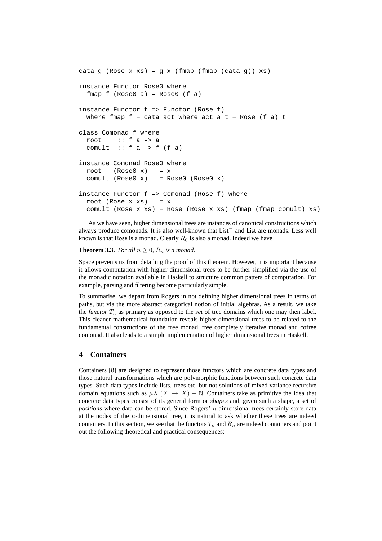```
cata g (Rose x xs) = g x (fmap (fmap (cata g)) xs)
instance Functor Rose0 where
  fmap f (Rose0 a) = Rose0 (f a)
instance Functor f => Functor (Rose f)
  where fmap f = \text{cata act where } \text{act } a t = \text{Rose } (f a) tclass Comonad f where
  root \therefore f a -> a
  comult \because f a \rightarrow f (f a)instance Comonad Rose0 where
  root (Rose0 x) = xcount (Rose0 x) = Rose0 (Rose0 x)instance Functor f \Rightarrow Comonad (Rose f) where
  root (Rose x xs) = xcomult (Rose x xs) = Rose (Rose x xs) (fmap (fmap comult) xs)
```
As we have seen, higher dimensional trees are instances of canonical constructions which always produce comonads. It is also well-known that  $List^+$  and List are monads. Less well known is that Rose is a monad. Clearly  $R_0$  is also a monad. Indeed we have

**Theorem 3.3.** *For all*  $n \geq 0$ ,  $R_n$  *is a monad.* 

Space prevents us from detailing the proof of this theorem. However, it is important because it allows computation with higher dimensional trees to be further simplified via the use of the monadic notation available in Haskell to structure common patters of computation. For example, parsing and filtering become particularly simple.

To summarise, we depart from Rogers in not defining higher dimensional trees in terms of paths, but via the more abstract categorical notion of initial algebras. As a result, we take the *functor*  $T_n$  as primary as opposed to the *set* of tree domains which one may then label. This cleaner mathematical foundation reveals higher dimensional trees to be related to the fundamental constructions of the free monad, free completely iterative monad and cofree comonad. It also leads to a simple implementation of higher dimensional trees in Haskell.

# **4 Containers**

Containers [8] are designed to represent those functors which are concrete data types and those natural transformations which are polymorphic functions between such concrete data types. Such data types include lists, trees etc, but not solutions of mixed variance recursive domain equations such as  $\mu X.(X \rightarrow X) + \mathbb{N}$ . Containers take as primitive the idea that concrete data types consist of its general form or *shapes* and, given such a shape, a set of *positions* where data can be stored. Since Rogers' n-dimensional trees certainly store data at the nodes of the n-dimensional tree, it is natural to ask whether these trees are indeed containers. In this section, we see that the functors  $T_n$  and  $R_n$  are indeed containers and point out the following theoretical and practical consequences: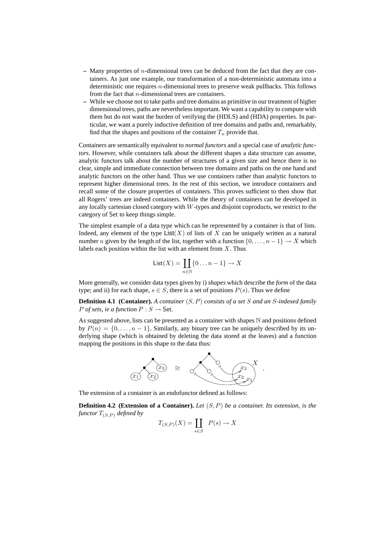- **–** Many properties of n-dimensional trees can be deduced from the fact that they are containers. As just one example, our transformation of a non-deterministic automata into a deterministic one requires n-dimensional trees to preserve weak pullbacks. This follows from the fact that n-dimensional trees are containers.
- **–** While we choose not to take paths and tree domains as primitive in our treatment of higher dimensional trees, paths are nevertheless important. We want a capability to compute with them but do not want the burden of verifying the (HDLS) and (HDA) properties. In particular, we want a purely inductive definition of tree domains and paths and, remarkably, find that the shapes and positions of the container  $T_n$  provide that.

Containers are semantically equivalent to *normal functors* and a special case of *analytic functors*. However, while containers talk about the different shapes a data structure can assume, analytic functors talk about the number of structures of a given size and hence there is no clear, simple and immediate connection between tree domains and paths on the one hand and analytic functors on the other hand. Thus we use containers rather than analytic functors to represent higher dimensional trees. In the rest of this section, we introduce containers and recall some of the closure properties of containers. This proves sufficient to then show that all Rogers' trees are indeed containers. While the theory of containers can be developed in any locally cartesian closed category with  $W$ -types and disjoint coproducts, we restrict to the category of Set to keep things simple.

The simplest example of a data type which can be represented by a container is that of lists. Indeed, any element of the type  $List(X)$  of lists of X can be uniquely written as a natural number n given by the length of the list, together with a function  $\{0, \ldots, n-1\} \rightarrow X$  which labels each position within the list with an element from  $X$ . Thus

$$
\mathsf{List}(X) = \coprod_{n \in \mathbb{N}} \{0 \dots n - 1\} \to X
$$

More generally, we consider data types given by i) *shapes* which describe the *form* of the data type; and ii) for each shape,  $s \in S$ , there is a set of positions  $P(s)$ . Thus we define

**Definition 4.1 (Container).** *A container* (S, P) *consists of a set* S *and an* S*-indexed family P of sets, ie a function*  $P : S \rightarrow$  Set.

As suggested above, lists can be presented as a container with shapes  $\mathbb N$  and positions defined by  $P(n) = \{0, \ldots, n-1\}$ . Similarly, any binary tree can be uniquely described by its underlying shape (which is obtained by deleting the data stored at the leaves) and a function mapping the positions in this shape to the data thus:



The extension of a container is an endofunctor defined as follows:

**Definition 4.2 (Extension of a Container).** *Let* (S, P) *be a container. Its extension, is the functor*  $T_{(S,P)}$  *defined by* 

$$
T_{(S,P)}(X) = \coprod_{s \in S} P(s) \to X
$$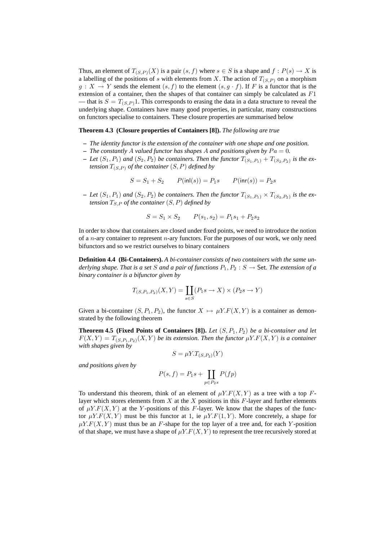Thus, an element of  $T_{(S,P)}(X)$  is a pair  $(s, f)$  where  $s \in S$  is a shape and  $f : P(s) \to X$  is a labelling of the positions of s with elements from X. The action of  $T_{(S,P)}$  on a morphism  $g: X \to Y$  sends the element  $(s, f)$  to the element  $(s, g \cdot f)$ . If F is a functor that is the extension of a container, then the shapes of that container can simply be calculated as F1 — that is  $S = T_{(S,P)}1$ . This corresponds to erasing the data in a data structure to reveal the underlying shape. Containers have many good properties, in particular, many constructions on functors specialise to containers. These closure properties are summarised below

#### **Theorem 4.3 (Closure properties of Containers [8]).** *The following are true*

- **–** *The identity functor is the extension of the container with one shape and one position.*
- $\sim$  *The constantly A valued functor has shapes A and positions given by*  $Pa = 0$ *.*
- *Let*  $(S_1, P_1)$  and  $(S_2, P_2)$  be containers. Then the functor  $T_{(S_1, P_1)} + T_{(S_2, P_2)}$  is the ex*tension*  $T_{(S,P)}$  *of the container*  $(S, P)$  *defined by*

$$
S = S_1 + S_2
$$
  $P(\text{inl}(s)) = P_1 s$   $P(\text{inr}(s)) = P_2 s$ 

 $I = Let (S_1, P_1)$  and  $(S_2, P_2)$  be containers. Then the functor  $T_{(S_1, P_1)} \times T_{(S_2, P_2)}$  is the ex*tension*  $T_{S,P}$  *of the container*  $(S, P)$  *defined by* 

$$
S = S_1 \times S_2 \qquad P(s_1, s_2) = P_1 s_1 + P_2 s_2
$$

In order to show that containers are closed under fixed points, we need to introduce the notion of a *n*-ary container to represent *n*-ary functors. For the purposes of our work, we only need bifunctors and so we restrict ourselves to binary containers

**Definition 4.4 (Bi-Containers).** *A bi-container consists of two containers with the same underlying shape. That is a set* S *and a pair of functions*  $P_1, P_2 : S \rightarrow$  Set*. The extension of a binary container is a bifunctor given by*

$$
T_{(S,P_1,P_2)}(X,Y) = \coprod_{s \in S} (P_1s \to X) \times (P_2s \to Y)
$$

Given a bi-container  $(S, P_1, P_2)$ , the functor  $X \mapsto \mu Y.F(X, Y)$  is a container as demonstrated by the following theorem

**Theorem 4.5 (Fixed Points of Containers [8]).** *Let*  $(S, P_1, P_2)$  *be a bi-container and let*  $F(X, Y) = T_{(S, P_1, P_2)}(X, Y)$  *be its extension. Then the functor*  $\mu Y.F(X, Y)$  *is a container with shapes given by*

$$
S = \mu Y.T_{(S,P_2)}(Y)
$$

*and positions given by*

$$
P(s,f) = P_1s + \coprod_{p \in P_2s} P(fp)
$$

To understand this theorem, think of an element of  $\mu Y.F(X, Y)$  as a tree with a top Flayer which stores elements from  $X$  at the  $X$  positions in this  $F$ -layer and further elements of  $\mu Y.F(X, Y)$  at the Y-positions of this F-layer. We know that the shapes of the functor  $\mu Y.F(X, Y)$  must be this functor at 1, ie  $\mu Y.F(1, Y)$ . More concretely, a shape for  $\mu Y.F(X, Y)$  must thus be an F-shape for the top layer of a tree and, for each Y-position of that shape, we must have a shape of  $\mu Y.F(X, Y)$  to represent the tree recursively stored at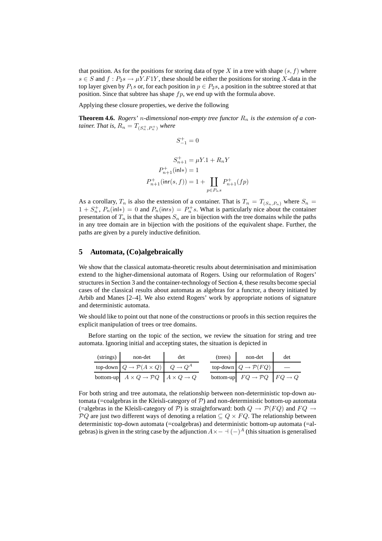that position. As for the positions for storing data of type X in a tree with shape  $(s, f)$  where  $s \in S$  and  $f : P_2s \to \mu Y.F1Y$ , these should be either the positions for storing X-data in the top layer given by  $P_1$ s or, for each position in  $p \in P_2$ s, a position in the subtree stored at that position. Since that subtree has shape  $fp$ , we end up with the formula above.

Applying these closure properties, we derive the following

**Theorem 4.6.** Rogers' *n*-dimensional non-empty tree functor  $R_n$  is the extension of a container. That is,  $R_n = T_{(S_n^+, P_n^+)}$  where

$$
S_{-1}^{+} = 0
$$
  

$$
S_{n+1}^{+} = \mu Y \cdot 1 + R_n Y
$$
  

$$
P_{n+1}^{+}(\text{inl*}) = 1
$$
  

$$
P_{n+1}^{+}(\text{inr}(s, f)) = 1 + \coprod_{p \in P_n s} P_{n+1}^{+}(fp)
$$

As a corollary,  $T_n$  is also the extension of a container. That is  $T_n = T_{(S_n, P_n)}$  where  $S_n =$  $1 + S_n^+$ ,  $P_n(in\mid *) = 0$  and  $P_n(inrs) = P_n^+s$ . What is particularly nice about the container presentation of  $T_n$  is that the shapes  $S_n$  are in bijection with the tree domains while the paths in any tree domain are in bijection with the positions of the equivalent shape. Further, the paths are given by a purely inductive definition.

#### **5 Automata, (Co)algebraically**

We show that the classical automata-theoretic results about determinisation and minimisation extend to the higher-dimensional automata of Rogers. Using our reformulation of Rogers' structures in Section 3 and the container-technology of Section 4, these results become special cases of the classical results about automata as algebras for a functor, a theory initiated by Arbib and Manes [2–4]. We also extend Rogers' work by appropriate notions of signature and deterministic automata.

We should like to point out that none of the constructions or proofs in this section requires the explicit manipulation of trees or tree domains.

Before starting on the topic of the section, we review the situation for string and tree automata. Ignoring initial and accepting states, the situation is depicted in

| (strings) | non-det                                                                                          | det | (trees) | non-det                                           | det |
|-----------|--------------------------------------------------------------------------------------------------|-----|---------|---------------------------------------------------|-----|
|           | top-down $\left  \right. Q \rightarrow \mathcal{P}(A \times Q) \left  \right. Q \rightarrow Q^A$ |     |         | top-down $Q \rightarrow \mathcal{P}(FQ)$          |     |
|           | bottom-up $A \times Q \rightarrow PQ$ $A \times Q \rightarrow Q$                                 |     |         | bottom-up $FQ \rightarrow PQ$ $ FQ \rightarrow Q$ |     |

For both string and tree automata, the relationship between non-deterministic top-down automata (=coalgebras in the Kleisli-category of  $P$ ) and non-deterministic bottom-up automata (=algebras in the Kleisli-category of  $P$ ) is straightforward: both  $Q \rightarrow P(FQ)$  and  $FQ \rightarrow$  $\mathcal{P}Q$  are just two different ways of denoting a relation  $\subseteq Q \times FQ$ . The relationship between deterministic top-down automata (=coalgebras) and deterministic bottom-up automata (=algebras) is given in the string case by the adjunction  $A \times - \{(-)^A$  (this situation is generalised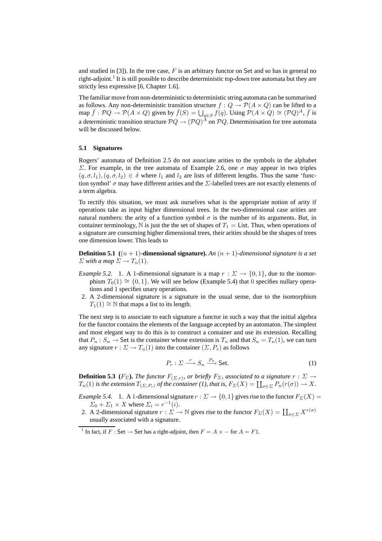and studied in  $[3]$ ). In the tree case, F is an arbitrary functor on Set and so has in general no right-adjoint.<sup>1</sup> It is still possible to describe deterministic top-down tree automata but they are strictly less expressive [6, Chapter 1.6].

The familiar move from non-deterministic to deterministic string automata can be summarised as follows. Any non-deterministic transition structure  $f: Q \to \mathcal{P}(A \times Q)$  can be lifted to a map  $\bar{f}: \mathcal{P}Q \to \mathcal{P}(A \times Q)$  given by  $\bar{f}(S) = \bigcup_{q \in S} f(q)$ . Using  $\mathcal{P}(A \times Q) \cong (\mathcal{P}Q)^A$ ,  $\bar{f}$  is a deterministic transition structure  $PQ \rightarrow (PQ)^{\tilde{A}}$  on  $PQ$ . Determinisation for tree automata will be discussed below.

#### **5.1 Signatures**

Rogers' automata of Definition 2.5 do not associate arities to the symbols in the alphabet Σ. For example, in the tree automata of Example 2.6, one σ may appear in two triples  $(q, \sigma, l_1), (q, \sigma, l_2) \in \delta$  where  $l_1$  and  $l_2$  are lists of different lengths. Thus the same 'function symbol'  $\sigma$  may have different arities and the  $\Sigma$ -labelled trees are not exactly elements of a term algebra.

To rectify this situation, we must ask ourselves what is the appropriate notion of arity if operations take as input higher dimensional trees. In the two-dimensional case arities are natural numbers: the arity of a function symbol  $\sigma$  is the number of its arguments. But, in container terminology, N is just the the set of shapes of  $T_1 =$  List. Thus, when operations of a signature are consuming higher dimensional trees, their arities should be the shapes of trees one dimension lower. This leads to

**Definition 5.1** ( $(n + 1)$ **-dimensional signature).** *An*  $(n + 1)$ *-dimensional signature is a set*  $\Sigma$  *with a map*  $\Sigma \to T_n(1)$ .

- *Example 5.2.* 1. A 1-dimensional signature is a map  $r : \Sigma \to \{0, 1\}$ , due to the isomorphism  $T_0(1) \cong \{0, 1\}$ . We will see below (Example 5.4) that 0 specifies nullary operations and 1 specifies unary operations.
- 2. A 2-dimensional signature is a signature in the usual sense, due to the isomorphism  $T_1(1) \cong \mathbb{N}$  that maps a list to its length.

The next step is to associate to each signature a functor in such a way that the initial algebra for the functor contains the elements of the language accepted by an automaton. The simplest and most elegant way to do this is to construct a container and use its extension. Recalling that  $P_n : S_n \to \mathsf{Set}$  is the container whose extension is  $T_n$  and that  $S_n = T_n(1)$ , we can turn any signature  $r : \Sigma \to T_n(1)$  into the container  $(\Sigma, P_r)$  as follows

$$
P_r: \Sigma \xrightarrow{r} S_n \xrightarrow{P_n} \text{Set}.
$$
 (1)

**Definition 5.3** ( $F_{\Sigma}$ ). The functor  $F_{(\Sigma,r)}$ , or briefly  $F_{\Sigma}$ , associated to a signature  $r : \Sigma \to$  $T_n(1)$  *is the extension*  $T_{(\Sigma,P_r)}$  *of the container* (1), *that is,*  $F_\Sigma(X) = \coprod_{\sigma \in \Sigma} P_n(r(\sigma)) \to X$ *.* 

*Example 5.4.* 1. A 1-dimensional signature  $r : \Sigma \to \{0, 1\}$  gives rise to the functor  $F_{\Sigma}(X) =$  $\overline{\Sigma}_0 + \Sigma_1 \times X$  where  $\Sigma_i = r^{-1}(i)$ .

2. A 2-dimensional signature  $r : \Sigma \to \mathbb{N}$  gives rise to the functor  $F_{\Sigma}(X) = \coprod_{\sigma \in \Sigma} X^{r(\sigma)}$ usually associated with a signature.

<sup>&</sup>lt;sup>1</sup> In fact, if  $F :$  Set  $\rightarrow$  Set has a right-adjoint, then  $F = A \times -$  for  $A = F1$ .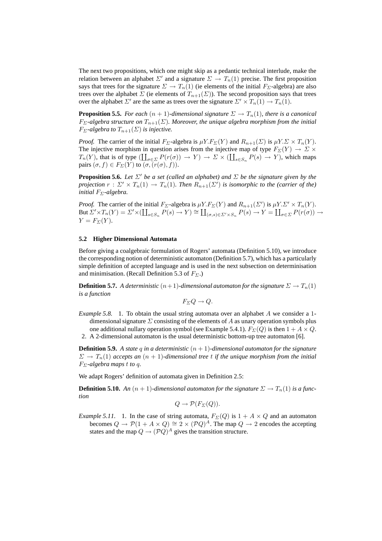The next two propositions, which one might skip as a pedantic technical interlude, make the relation between an alphabet  $\Sigma'$  and a signature  $\Sigma \to T_n(1)$  precise. The first proposition says that trees for the signature  $\Sigma \to T_n(1)$  (ie elements of the initial  $F_\Sigma$ -algebra) are also trees over the alphabet  $\Sigma$  (ie elements of  $T_{n+1}(\Sigma)$ ). The second proposition says that trees over the alphabet  $\Sigma'$  are the same as trees over the signature  $\Sigma' \times T_n(1) \to T_n(1)$ .

**Proposition 5.5.** *For each*  $(n + 1)$ *-dimensional signature*  $\Sigma \to T_n(1)$ *, there is a canonical*  $F_{\Sigma}$ -algebra structure on  $T_{n+1}(\Sigma)$ . Moreover, the unique algebra morphism from the initial  $F_{\Sigma}$ -algebra to  $T_{n+1}(\Sigma)$  is injective.

*Proof.* The carrier of the initial  $F_{\Sigma}$ -algebra is  $\mu Y.F_{\Sigma}(Y)$  and  $R_{n+1}(\Sigma)$  is  $\mu Y.\Sigma \times T_n(Y)$ . The injective morphism in question arises from the injective map of type  $F_\Sigma(Y) \to \Sigma \times$  $T_n(Y)$ , that is of type  $(\coprod_{\sigma \in \Sigma} P(r(\sigma)) \to Y) \to \Sigma \times (\coprod_{s \in S_n} P(s) \to Y)$ , which maps pairs  $(\sigma, f) \in F_{\Sigma}(Y)$  to  $(\sigma, (r(\sigma), f)).$ 

**Proposition 5.6.** Let  $\Sigma'$  be a set (called an alphabet) and  $\Sigma$  be the signature given by the *projection*  $r : \Sigma' \times T_n(1) \to T_n(1)$ . Then  $R_{n+1}(\Sigma')$  is isomorphic to the (carrier of the) *initial*  $F_{Σ}$ -algebra.

*Proof.* The carrier of the initial  $F_{\Sigma}$ -algebra is  $\mu Y.F_{\Sigma}(Y)$  and  $R_{n+1}(\Sigma')$  is  $\mu Y.\Sigma' \times T_n(Y)$ . But  $\Sigma' \times T_n(Y) = \Sigma' \times (\coprod_{s \in S_n} P(s) \to Y) \cong \coprod_{(\sigma, s) \in \Sigma' \times S_n} P(s) \to Y = \coprod_{\sigma \in \Sigma} P(r(\sigma)) \to Y$  $Y = F_{\Sigma}(Y).$ 

### **5.2 Higher Dimensional Automata**

Before giving a coalgebraic formulation of Rogers' automata (Definition 5.10), we introduce the corresponding notion of deterministic automaton (Definition 5.7), which has a particularly simple definition of accepted language and is used in the next subsection on determinisation and minimisation. (Recall Definition 5.3 of  $F_\Sigma$ .)

**Definition 5.7.** *A deterministic*  $(n+1)$ *-dimensional automaton for the signature*  $\Sigma \to T_n(1)$ *is a function*

$$
F_{\varSigma}Q\to Q.
$$

- *Example 5.8.* 1. To obtain the usual string automata over an alphabet A we consider a 1 dimensional signature  $\Sigma$  consisting of the elements of A as unary operation symbols plus one additional nullary operation symbol (see Example 5.4.1).  $F_\Sigma(Q)$  is then  $1 + A \times Q$ .
- 2. A 2-dimensional automaton is the usual deterministic bottom-up tree automaton [6].

**Definition 5.9.** A state q in a deterministic  $(n + 1)$ -dimensional automaton for the signature  $\Sigma \to T_n(1)$  accepts an  $(n + 1)$ -dimensional tree t if the unique morphism from the initial FΣ*-algebra maps* t *to* q*.*

We adapt Rogers' definition of automata given in Definition 2.5:

**Definition 5.10.** An  $(n + 1)$ -dimensional automaton for the signature  $\Sigma \to T_n(1)$  is a func*tion*

$$
Q \to \mathcal{P}(F_{\Sigma}(Q)).
$$

*Example 5.11.* 1. In the case of string automata,  $F_{\Sigma}(Q)$  is  $1 + A \times Q$  and an automaton becomes  $Q \to \mathcal{P}(1 + A \times Q) \cong 2 \times (\mathcal{P}Q)^A$ . The map  $Q \to 2$  encodes the accepting states and the map  $Q \to (PQ)^A$  gives the transition structure.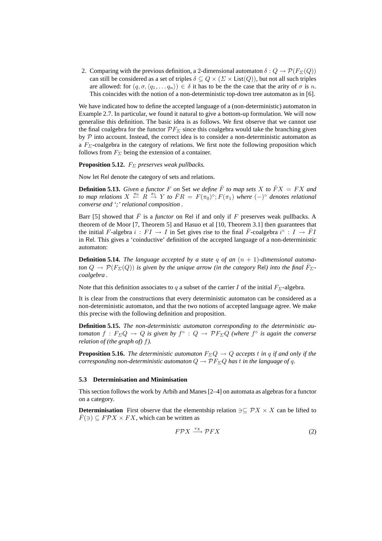2. Comparing with the previous definition, a 2-dimensional automaton  $\delta: Q \to \mathcal{P}(F_{\Sigma}(Q))$ can still be considered as a set of triples  $\delta \subseteq Q \times (\Sigma \times \text{List}(Q))$ , but not all such triples are allowed: for  $(q, \sigma, \langle q_1, \ldots q_n \rangle) \in \delta$  it has to be the the case that the arity of  $\sigma$  is n. This coincides with the notion of a non-deterministic top-down tree automaton as in [6].

We have indicated how to define the accepted language of a (non-deterministic) automaton in Example 2.7. In particular, we found it natural to give a bottom-up formulation. We will now generalise this definition. The basic idea is as follows. We first observe that we cannot use the final coalgebra for the functor  $\mathcal{P}F_{\Sigma}$  since this coalgebra would take the branching given by  $P$  into account. Instead, the correct idea is to consider a non-deterministic automaton as a  $F_\Sigma$ -coalgebra in the category of relations. We first note the following proposition which follows from  $F_\Sigma$  being the extension of a container.

**Proposition 5.12.**  $F_{\Sigma}$  *preserves weak pullbacks.* 

Now let Rel denote the category of sets and relations.

**Definition 5.13.** *Given a functor* F *on* Set *we define*  $\overline{F}$  *to map sets* X *to*  $\overline{F}X = FX$  *and to map relations*  $X \stackrel{\pi_0}{\leftarrow} R \stackrel{\pi_1}{\rightarrow} Y$  *to*  $\overline{F}R = F(\pi_0)^\circ; F(\pi_1)$  *where*  $(-)^\circ$  *denotes relational converse and ';' relational composition .*

Barr [5] showed that  $\overline{F}$  is a *functor* on Rel if and only if F preserves weak pullbacks. A theorem of de Moor [7, Theorem 5] and Hasuo et al [10, Theorem 3.1] then guarantees that the initial F-algebra  $i : FI \to I$  in Set gives rise to the final  $\bar{F}$ -coalgebra  $i^{\circ} : I \to \bar{F}I$ in Rel. This gives a 'coinductive' definition of the accepted language of a non-deterministic automaton:

**Definition 5.14.** The language accepted by a state q of an  $(n + 1)$ -dimensional automa*ton*  $Q \to \mathcal{P}(F_\Sigma(Q))$  *is given by the unique arrow (in the category Rel) into the final*  $F_\Sigma$ *coalgebra .*

Note that this definition associates to q a subset of the carrier I of the initial  $F_{\Sigma}$ -algebra.

It is clear from the constructions that every deterministic automaton can be considered as a non-deterministic automaton, and that the two notions of accepted language agree. We make this precise with the following definition and proposition.

**Definition 5.15.** *The non-deterministic automaton corresponding to the deterministic automaton*  $f : F_{\Sigma}Q \to Q$  *is given by*  $f^{\circ} : Q \to \mathcal{P}F_{\Sigma}Q$  (where  $f^{\circ}$  *is again the converse relation of (the graph of)* f*).*

**Proposition 5.16.** *The deterministic automaton*  $F_{\Sigma}Q \rightarrow Q$  *accepts* t *in* q *if and only if the corresponding non-deterministic automaton*  $Q \rightarrow \mathcal{P} F_{\Sigma} Q$  *has t in the language of q.* 

### **5.3 Determinisation and Minimisation**

This section follows the work by Arbib and Manes [2–4] on automata as algebras for a functor on a category.

**Determinisation** First observe that the elementship relation  $\exists \subseteq \mathcal{P}X \times X$  can be lifted to  $\overline{F}(\ni) \subseteq F\mathcal{P}X \times FX$ , which can be written as

$$
F\mathcal{P}X \xrightarrow{\tau_X} \mathcal{P}FX \tag{2}
$$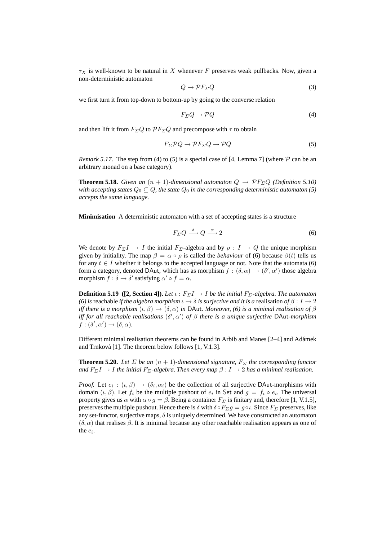$\tau_X$  is well-known to be natural in X whenever F preserves weak pullbacks. Now, given a non-deterministic automaton

$$
Q \to \mathcal{P}F_{\Sigma}Q \tag{3}
$$

we first turn it from top-down to bottom-up by going to the converse relation

$$
F_{\Sigma}Q \to \mathcal{P}Q \tag{4}
$$

and then lift it from  $F_{\Sigma}Q$  to  $\mathcal{P}F_{\Sigma}Q$  and precompose with  $\tau$  to obtain

$$
F_{\Sigma} \mathcal{P} Q \to \mathcal{P} F_{\Sigma} Q \to \mathcal{P} Q \tag{5}
$$

*Remark 5.17.* The step from (4) to (5) is a special case of [4, Lemma 7] (where  $P$  can be an arbitrary monad on a base category).

**Theorem 5.18.** *Given an*  $(n + 1)$ *-dimensional automaton*  $Q \rightarrow PF_{\Sigma}Q$  *(Definition 5.10) with accepting states*  $Q_0 \subseteq Q$ , the state  $Q_0$  *in the corresponding deterministic automaton* (5) *accepts the same language.*

**Minimisation** A deterministic automaton with a set of accepting states is a structure

$$
F_{\Sigma}Q \stackrel{\delta}{\longrightarrow} Q \stackrel{\alpha}{\longrightarrow} 2 \tag{6}
$$

We denote by  $F_{\Sigma}I \to I$  the initial  $F_{\Sigma}$ -algebra and by  $\rho : I \to Q$  the unique morphism given by initiality. The map  $\beta = \alpha \circ \rho$  is called the *behaviour* of (6) because  $\beta(t)$  tells us for any  $t \in I$  whether it belongs to the accepted language or not. Note that the automata (6) form a category, denoted DAut, which has as morphism  $f : (\delta, \alpha) \to (\delta', \alpha')$  those algebra morphism  $\hat{f} : \delta \to \delta'$  satisfying  $\alpha' \circ f = \alpha$ .

**Definition 5.19** ([2, Section 4]). Let  $\iota$  :  $F_{\Sigma}I \to I$  be the initial  $F_{\Sigma}$ -algebra. The automaton *(6) is* reachable *if the algebra morphism*  $\iota \to \delta$  *is surjective and it is a* realisation *of*  $\beta : I \to 2$ *iff there is a morphism*  $(\iota, \beta) \to (\delta, \alpha)$  *in* DAut*. Moreover,* (6) *is a minimal realisation of*  $\beta$ *iff for all reachable realisations* (δ ′ , α′ ) *of* β *there is a unique surjective* DAut*-morphism*  $f : (\delta', \alpha') \to (\delta, \alpha).$ 

Different minimal realisation theorems can be found in Arbib and Manes [2–4] and Adámek and Trnková [1]. The theorem below follows [1, V.1.3].

**Theorem 5.20.** Let  $\Sigma$  be an  $(n + 1)$ -dimensional signature,  $F_{\Sigma}$  the corresponding functor *and*  $F_{\Sigma}I \rightarrow I$  *the initial*  $F_{\Sigma}$ -algebra. Then every map  $\beta : I \rightarrow 2$  has a minimal realisation.

*Proof.* Let  $e_i : (\iota, \beta) \to (\delta_i, \alpha_i)$  be the collection of all surjective DAut-morphisms with domain  $(\iota, \beta)$ . Let  $f_i$  be the multiple pushout of  $e_i$  in Set and  $g = f_i \circ e_i$ . The universal property gives us  $\alpha$  with  $\alpha \circ q = \beta$ . Being a container  $F_{\Sigma}$  is finitary and, therefore [1, V.1.5], preserves the multiple pushout. Hence there is  $\delta$  with  $\delta \circ F_{\Sigma} q = q \circ \iota$ . Since  $F_{\Sigma}$  preserves, like any set-functor, surjective maps,  $\delta$  is uniquely determined. We have constructed an automaton  $(\delta, \alpha)$  that realises  $\beta$ . It is minimal because any other reachable realisation appears as one of the  $e_i$ .